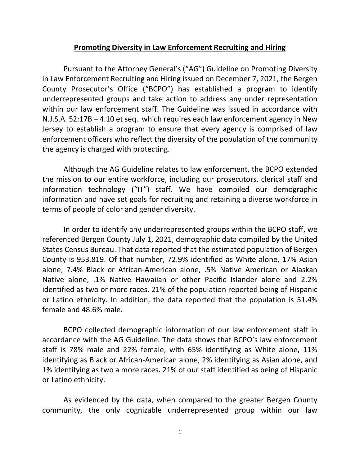## **Promoting Diversity in Law Enforcement Recruiting and Hiring**

Pursuant to the Attorney General's ("AG") Guideline on Promoting Diversity in Law Enforcement Recruiting and Hiring issued on December 7, 2021, the Bergen County Prosecutor's Office ("BCPO") has established a program to identify underrepresented groups and take action to address any under representation within our law enforcement staff. The Guideline was issued in accordance with N.J.S.A. 52:17B – 4.10 et seq. which requires each law enforcement agency in New Jersey to establish a program to ensure that every agency is comprised of law enforcement officers who reflect the diversity of the population of the community the agency is charged with protecting.

Although the AG Guideline relates to law enforcement, the BCPO extended the mission to our entire workforce, including our prosecutors, clerical staff and information technology ("IT") staff. We have compiled our demographic information and have set goals for recruiting and retaining a diverse workforce in terms of people of color and gender diversity.

In order to identify any underrepresented groups within the BCPO staff, we referenced Bergen County July 1, 2021, demographic data compiled by the United States Census Bureau. That data reported that the estimated population of Bergen County is 953,819. Of that number, 72.9% identified as White alone, 17% Asian alone, 7.4% Black or African-American alone, .5% Native American or Alaskan Native alone, .1% Native Hawaiian or other Pacific Islander alone and 2.2% identified as two or more races. 21% of the population reported being of Hispanic or Latino ethnicity. In addition, the data reported that the population is 51.4% female and 48.6% male.

BCPO collected demographic information of our law enforcement staff in accordance with the AG Guideline. The data shows that BCPO's law enforcement staff is 78% male and 22% female, with 65% identifying as White alone, 11% identifying as Black or African-American alone, 2% identifying as Asian alone, and 1% identifying as two a more races. 21% of our staff identified as being of Hispanic or Latino ethnicity.

As evidenced by the data, when compared to the greater Bergen County community, the only cognizable underrepresented group within our law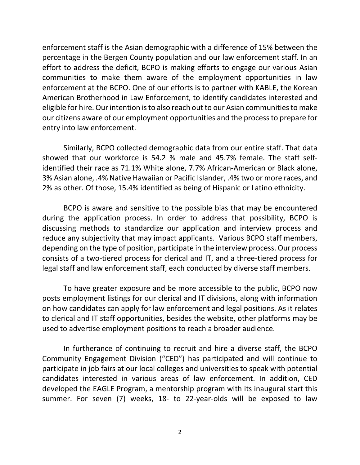enforcement staff is the Asian demographic with a difference of 15% between the percentage in the Bergen County population and our law enforcement staff. In an effort to address the deficit, BCPO is making efforts to engage our various Asian communities to make them aware of the employment opportunities in law enforcement at the BCPO. One of our efforts is to partner with KABLE, the Korean American Brotherhood in Law Enforcement, to identify candidates interested and eligible for hire. Our intention is to also reach out to our Asian communities to make our citizens aware of our employment opportunities and the process to prepare for entry into law enforcement.

Similarly, BCPO collected demographic data from our entire staff. That data showed that our workforce is 54.2 % male and 45.7% female. The staff selfidentified their race as 71.1% White alone, 7.7% African-American or Black alone, 3% Asian alone, .4% Native Hawaiian or Pacific Islander, .4% two or more races, and 2% as other. Of those, 15.4% identified as being of Hispanic or Latino ethnicity.

BCPO is aware and sensitive to the possible bias that may be encountered during the application process. In order to address that possibility, BCPO is discussing methods to standardize our application and interview process and reduce any subjectivity that may impact applicants. Various BCPO staff members, depending on the type of position, participate in the interview process. Our process consists of a two-tiered process for clerical and IT, and a three-tiered process for legal staff and law enforcement staff, each conducted by diverse staff members.

To have greater exposure and be more accessible to the public, BCPO now posts employment listings for our clerical and IT divisions, along with information on how candidates can apply for law enforcement and legal positions. As it relates to clerical and IT staff opportunities, besides the website, other platforms may be used to advertise employment positions to reach a broader audience.

In furtherance of continuing to recruit and hire a diverse staff, the BCPO Community Engagement Division ("CED") has participated and will continue to participate in job fairs at our local colleges and universities to speak with potential candidates interested in various areas of law enforcement. In addition, CED developed the EAGLE Program, a mentorship program with its inaugural start this summer. For seven (7) weeks, 18- to 22-year-olds will be exposed to law